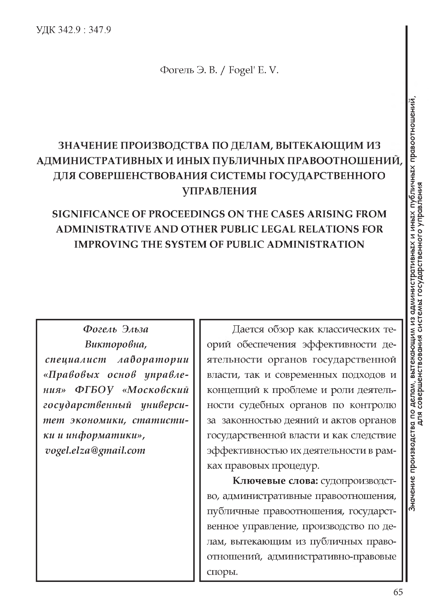Фогель Э. В. / Fogel' E.V.

## ЗНАЧЕНИЕ ПРОИЗВОДСТВА ПО ДЕЛАМ, ВЫТЕКАЮЩИМ ИЗ АДМИНИСТРАТИВНЫХ И ИНЫХ ПУБЛИЧНЫХ ПРАВООТНОШЕНИИ, ДЛЯ СОВЕРШЕНСТВОВАНИЯ СИСТЕМЫ ГОСУДАРСТВЕННОГО **УПРАВЛЕНИЯ**

## SIGNIFICANCE OF PROCEEDINGS ON THE CASES ARISING FROM ADMINISTRATIVE AND OTHER PUBLIC LEGAL RELATIONS FOR **IMPROVING THE SYSTEM OF PUBLIC ADMINISTRATION**

Фогель Эльза Викторовна, специалист лаборатории «Правовых основ управле- $HURY$ ФГБОУ «Московский государственный университет экономики, статистики и информатики», vogel.elza@gmail.com

Дается обзор как классических теорий обеспечения эффективности деятельности органов государственной власти, так и современных подходов и концепций к проблеме и роли деятельности судебных органов по контролю за законностью деяний и актов органов государственной власти и как следствие эффективностью их деятельности в рамках правовых процедур.

Ключевые слова: судопроизводство, административные правоотношения, публичные правоотношения, государственное управление, производство по делам, вытекающим из публичных правоотношений, административно-правовые споры.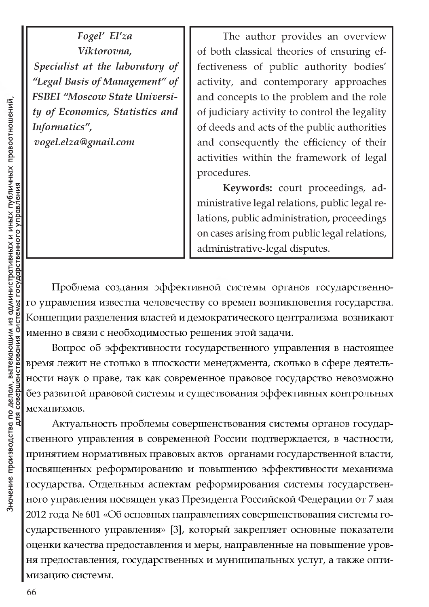Fogel' El'za Viktorovna, Specialist at the laboratory of "Legal Basis of Management" of FSBEI "Moscow State University of Economics, Statistics and Informatics", vogel.elza@gmail.com

The author provides an overview of both classical theories of ensuring effectiveness of public authority bodies' activity, and contemporary approaches and concepts to the problem and the role of judiciary activity to control the legality of deeds and acts of the public authorities and consequently the efficiency of their activities within the framework of legal procedures.

Keywords: court proceedings, administrative legal relations, public legal relations, public administration, proceedings on cases arising from public legal relations, administrative-legal disputes.

Проблема создания эффективной системы органов государственного управления известна человечеству со времен возникновения государства. Концепции разделения властей и демократического централизма возникают именно в связи с необходимостью решения этой задачи.

Вопрос об эффективности государственного управления в настоящее время лежит не столько в плоскости менеджмента, сколько в сфере деятельности наук о праве, так как современное правовое государство невозможно без развитой правовой системы и существования эффективных контрольных механизмов.

Актуальность проблемы совершенствования системы органов государственного управления в современной России подтверждается, в частности, принятием нормативных правовых актов органами государственной власти, посвященных реформированию и повышению эффективности механизма государства. Отдельным аспектам реформирования системы государственного управления посвящен указ Президента Российской Федерации от 7 мая 2012 года № 601 «Об основных направлениях совершенствования системы государственного управления» [3], который закрепляет основные показатели оценки качества предоставления и меры, направленные на повышение уровня предоставления, государственных и муниципальных услуг, а также оптимизацию системы.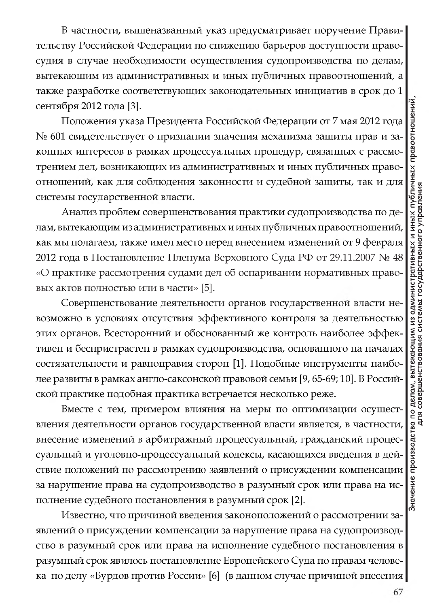В частности, вышеназванный указ предусматривает поручение Правительству Российской Федерации по снижению барьеров доступности правосудия в случае необходимости осуществления судопроизводства по делам, вытекающим из административных и иных публичных правоотношений, а также разработке соответствующих законодательных инициатив в срок до 1 сентября 2012 года [3].

Положения указа Президента Российской Федерации от 7 мая 2012 года № 601 свидетельствует о признании значения механизма защиты прав и законных интересов в рамках процессуальных процедур, связанных с рассмотрением дел, возникающих из административных и иных публичных правоотношений, как для соблюдения законности и судебной защиты, так и для системы государственной власти.

Анализ проблем совершенствования практики судопроизводства по делам, вытекающим из административных и иных публичных правоотношений, как мы полагаем, также имел место перед внесением изменений от 9 февраля 2012 года в Постановление Пленума Верховного Суда РФ от 29.11.2007 № 48 «О практике рассмотрения судами дел об оспаривании нормативных правовых актов полностью или в части» [5].

Совершенствование деятельности органов государственной власти невозможно в условиях отсутствия эффективного контроля за деятельностью этих органов. Всесторонний и обоснованный же контроль наиболее эффективен и беспристрастен в рамках судопроизводства, основанного на началах состязательности и равноправия сторон [1]. Подобные инструменты наиболее развиты в рамках англо-саксонской правовой семьи [9, 65-69; 10]. В Российской практике подобная практика встречается несколько реже.

Вместе с тем, примером влияния на меры по оптимизации осуществления деятельности органов государственной власти является, в частности, внесение изменений в арбитражный процессуальный, гражданский процессуальный и уголовно-процессуальный кодексы, касающихся введения в действие положений по рассмотрению заявлений о присуждении компенсации за нарушение права на судопроизводство в разумный срок или права на исполнение судебного постановления в разумный срок [2].

Известно, что причиной введения законоположений о рассмотрении заявлений о присуждении компенсации за нарушение права на судопроизводство в разумный срок или права на исполнение судебного постановления в разумный срок явилось постановление Европейского Суда по правам человека по делу «Бурдов против России» [6] (в данном случае причиной внесения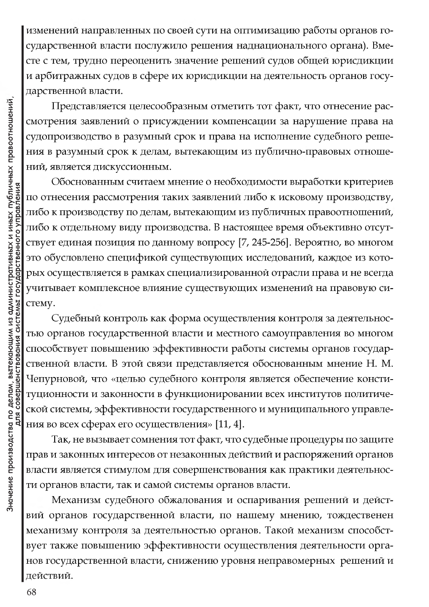изменений направленных по своей сути на оптимизацию работы органов государственной власти послужило решения наднационального органа). Вместе с тем, трудно переоценить значение решений судов общей юрисдикции и арбитражных судов в сфере их юрисдикции на деятельность органов государственной власти.

Представляется целесообразным отметить тот факт, что отнесение рассмотрения заявлений о присуждении компенсации за нарушение права на судопроизводство в разумный срок и права на исполнение судебного решения в разумный срок к делам, вытекающим из публично-правовых отношений, является дискуссионным.

Обоснованным считаем мнение о необходимости выработки критериев по отнесения рассмотрения таких заявлений либо к исковому производству, либо к производству по делам, вытекающим из публичных правоотношений, либо к отдельному виду производства. В настоящее время объективно отсутствует единая позиция по данному вопросу [7, 245-256]. Вероятно, во многом это обусловлено спецификой существующих исследований, каждое из которых осуществляется в рамках специализированной отрасли права и не всегда учитывает комплексное влияние существующих изменений на правовую систему.

Судебный контроль как форма осуществления контроля за деятельностью органов государственной власти и местного самоуправления во многом способствует повышению эффективности работы системы органов государственной власти. В этой связи представляется обоснованным мнение Н. М. Чепурновой, что «целью судебного контроля является обеспечение конституционности и законности в функционировании всех институтов политической системы, эффективности государственного и муниципального управления во всех сферах его осуществления» [11, 4].

Так, не вызывает сомнения тот факт, что судебные процедуры по защите прав и законных интересов от незаконных действий и распоряжений органов власти является стимулом для совершенствования как практики деятельности органов власти, так и самой системы органов власти.

Механизм судебного обжалования и оспаривания решений и действий органов государственной власти, по нашему мнению, тождественен механизму контроля за деятельностью органов. Такой механизм способствует также повышению эффективности осуществления деятельности органов государственной власти, снижению уровня неправомерных решений и действий.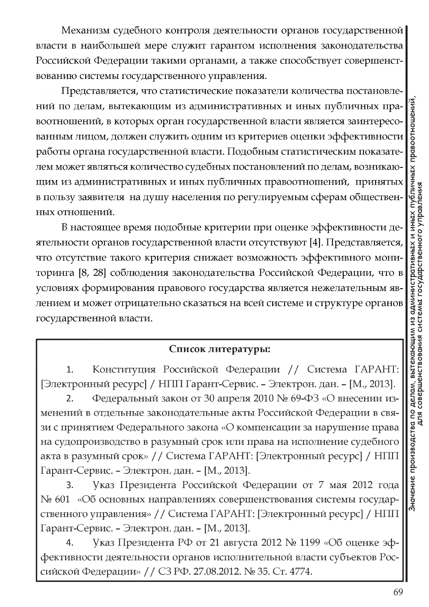Механизм судебного контроля деятельности органов государственной власти в наибольшей мере служит гарантом исполнения законодательства Российской Федерации такими органами, а также способствует совершенствованию системы государственного управления.

Представляется, что статистические показатели количества постановлений по делам, вытекающим из административных и иных публичных правоотношений, в которых орган государственной власти является заинтересованным лицом, должен служить одним из критериев оценки эффективности работы органа государственной власти. Подобным статистическим показателем может являться количество судебных постановлений по делам, возникающим из административных и иных публичных правоотношений, принятых в пользу заявителя на душу населения по регулируемым сферам общественных отношений.

В настоящее время подобные критерии при оценке эффективности деятельности органов государственной власти отсутствуют [4]. Представляется, что отсутствие такого критерия снижает возможность эффективного мониторинга [8, 28] соблюдения законодательства Российской Федерации, что в условиях формирования правового государства является нежелательным явлением и может отрицательно сказаться на всей системе и структуре органов государственной власти.

## Список литературы:

Конституция Российской Федерации // Система ГАРАНТ:  $1.$ [Электронный ресурс] / НПП Гарант-Сервис. - Электрон. дан. - [М., 2013].

Федеральный закон от 30 апреля 2010 № 69-ФЗ «О внесении изменений в отдельные законодательные акты Российской Федерации в связи с принятием Федерального закона «О компенсации за нарушение права на судопроизводство в разумный срок или права на исполнение судебного акта в разумный срок» // Система ГАРАНТ: [Электронный ресурс] / НПП Гарант-Сервис. - Электрон. дан. - [М., 2013].

Указ Президента Российской Федерации от 7 мая 2012 года 3. № 601 «Об основных направлениях совершенствования системы государственного управления» // Система ГАРАНТ: [Электронный ресурс] / НПП Гарант-Сервис. - Электрон. дан. - [М., 2013].

Указ Президента РФ от 21 августа 2012 № 1199 «Об оценке эффективности деятельности органов исполнительной власти субъектов Российской Федерации» // СЗ РФ. 27.08.2012. № 35. Ст. 4774.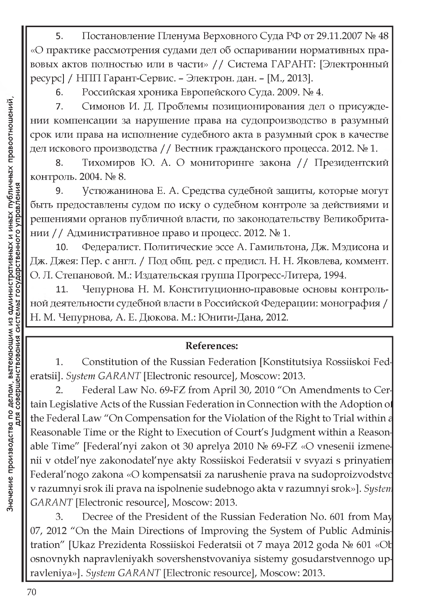Постановление Пленума Верховного Суда РФ от 29.11.2007 № 48 5. «О практике рассмотрения судами дел об оспаривании нормативных правовых актов полностью или в части» // Система ГАРАНТ: [Электронный ресурс] / НПП Гарант-Сервис. - Электрон. дан. - [М., 2013].

Российская хроника Европейского Суда. 2009. № 4. 6.

Симонов И. Д. Проблемы позиционирования дел о присужде-7. нии компенсации за нарушение права на судопроизводство в разумный срок или права на исполнение судебного акта в разумный срок в качестве дел искового производства // Вестник гражданского процесса. 2012. № 1.

Тихомиров Ю. А. О мониторинге закона // Президентский 8. контроль. 2004. № 8.

Устюжанинова Е. А. Средства судебной защиты, которые могут 9. быть предоставлены судом по иску о судебном контроле за действиями и решениями органов публичной власти, по законодательству Великобритании / / Административное право и процесс. 2012. № 1.

Федералист. Политические эссе А. Гамильтона, Дж. Мэдисона и 10. Дж. Джея: Пер. с англ. / Под общ. ред. с предисл. Н. Н. Яковлева, коммент. О. Л. Степановой. М.: Издательская группа Прогресс-Литера, 1994.

Чепурнова Н. М. Конституционно-правовые основы контроль-11. ной деятельности судебной власти в Российской Федерации: монография / Н. М. Чепурнова, А. Е. Дюкова. М.: Юнити-Дана, 2012.

## **References:**

Constitution of the Russian Federation [Konstitutsiya Rossiiskoi Fed-1. eratsii]. System GARANT [Electronic resource], Moscow: 2013.

Federal Law No. 69-FZ from April 30, 2010 "On Amendments to Cer- $2.$ tain Legislative Acts of the Russian Federation in Connection with the Adoption of the Federal Law "On Compensation for the Violation of the Right to Trial within a Reasonable Time or the Right to Execution of Court's Judgment within a Reasonable Time" [Federal'nyi zakon ot 30 aprelya 2010 No 69-FZ «O vnesenii izmenenii v otdel'nye zakonodatel'nye akty Rossiiskoi Federatsii v svyazi s prinyatiem Federal'nogo zakona «O kompensatsii za narushenie prava na sudoproizvodstvo v razumnyi srok ili prava na ispolnenie sudebnogo akta v razumnyi srok»]. System GARANT [Electronic resource], Moscow: 2013.

Decree of the President of the Russian Federation No. 601 from May 3. 07, 2012 "On the Main Directions of Improving the System of Public Administration" [Ukaz Prezidenta Rossiiskoi Federatsii ot 7 maya 2012 goda Nº 601 «Ob osnovnykh napravleniyakh sovershenstvovaniya sistemy gosudarstvennogo upravleniya»]. System GARANT [Electronic resource], Moscow: 2013.